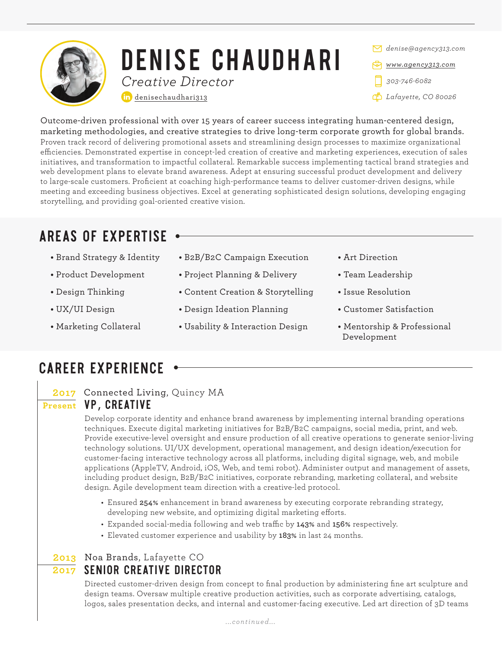

# DENISE CHAUDHARI *Creative Director*

[denisechaudhari313](https://www.linkedin.com/in/denisechaudhari313/)

*denise@agency313.com [www.agency313.com](https://www.agency313.com) 303-746-6082 Lafayette, CO 80026*

Outcome-driven professional with over 15 years of career success integrating human-centered design, marketing methodologies, and creative strategies to drive long-term corporate growth for global brands. Proven track record of delivering promotional assets and streamlining design processes to maximize organizational efficiencies. Demonstrated expertise in concept-led creation of creative and marketing experiences, execution of sales initiatives, and transformation to impactful collateral. Remarkable success implementing tactical brand strategies and web development plans to elevate brand awareness. Adept at ensuring successful product development and delivery to large-scale customers. Proficient at coaching high-performance teams to deliver customer-driven designs, while meeting and exceeding business objectives. Excel at generating sophisticated design solutions, developing engaging storytelling, and providing goal-oriented creative vision.

## AREAS OF EXPERTISE

- **•** Brand Strategy & Identity
- **•** Product Development
- **•** Design Thinking
- **•** UX/UI Design
- **•** Marketing Collateral
- **•** B2B/B2C Campaign Execution
- **•** Project Planning & Delivery
- **•** Content Creation & Storytelling
- **•** Design Ideation Planning
- **•** Usability & Interaction Design
- **•** Art Direction
- **•** Team Leadership
- **•** Issue Resolution
- **•** Customer Satisfaction
- **•** Mentorship & Professional Development

## CAREER EXPERIENCE

#### **2017** Connected Living, Quincy MA **Present VP, CREATIVE**

Develop corporate identity and enhance brand awareness by implementing internal branding operations techniques. Execute digital marketing initiatives for B2B/B2C campaigns, social media, print, and web. Provide executive-level oversight and ensure production of all creative operations to generate senior-living technology solutions. UI/UX development, operational management, and design ideation/execution for customer-facing interactive technology across all platforms, including digital signage, web, and mobile applications (AppleTV, Android, iOS, Web, and temi robot). Administer output and management of assets, including product design, B2B/B2C initiatives, corporate rebranding, marketing collateral, and website design. Agile development team direction with a creative-led protocol.

- Ensured **254%** enhancement in brand awareness by executing corporate rebranding strategy, developing new website, and optimizing digital marketing efforts.
- Expanded social-media following and web traffic by 143% and 156% respectively.
- Elevated customer experience and usability by **183%** in last 24 months.

### $\overline{2017}$  SENIOR CREATIVE DIRECTOR **2013** Noa Brands, Lafayette CO

Directed customer-driven design from concept to final production by administering fine art sculpture and design teams. Oversaw multiple creative production activities, such as corporate advertising, catalogs, logos, sales presentation decks, and internal and customer-facing executive. Led art direction of 3D teams